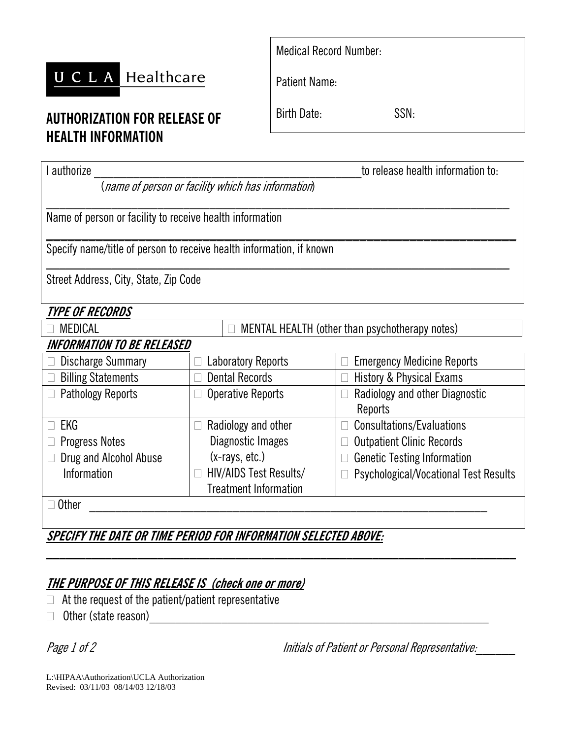# UCLA Healthcare | Patient Name:

## **AUTHORIZATION FOR RELEASE OF HEALTH INFORMATION**

| <b>Medical Record Number:</b> |  |
|-------------------------------|--|
|-------------------------------|--|

Birth Date: SSN:

| authorize                                                            |                                                     | to release health information to:            |  |
|----------------------------------------------------------------------|-----------------------------------------------------|----------------------------------------------|--|
|                                                                      | (name of person or facility which has information)  |                                              |  |
| Name of person or facility to receive health information             |                                                     |                                              |  |
| Specify name/title of person to receive health information, if known |                                                     |                                              |  |
| Street Address, City, State, Zip Code                                |                                                     |                                              |  |
| <i><b>TYPE OF RECORDS</b></i>                                        |                                                     |                                              |  |
| <b>MEDICAL</b>                                                       | MENTAL HEALTH (other than psychotherapy notes)<br>П |                                              |  |
| INFORMATION TO BE RELEASED                                           |                                                     |                                              |  |
| Discharge Summary                                                    | <b>Laboratory Reports</b>                           | <b>Emergency Medicine Reports</b>            |  |
| <b>Billing Statements</b>                                            | <b>Dental Records</b>                               | <b>History &amp; Physical Exams</b>          |  |
| <b>Pathology Reports</b>                                             | <b>Operative Reports</b>                            | Radiology and other Diagnostic               |  |
|                                                                      |                                                     | Reports                                      |  |
| EKG                                                                  | Radiology and other                                 | Consultations/Evaluations                    |  |
| <b>Progress Notes</b>                                                | Diagnostic Images                                   | <b>Outpatient Clinic Records</b>             |  |
| Drug and Alcohol Abuse                                               | $(x-rays, etc.)$                                    | <b>Genetic Testing Information</b>           |  |
| Information                                                          | HIV/AIDS Test Results/                              | <b>Psychological/Vocational Test Results</b> |  |
|                                                                      | <b>Treatment Information</b>                        |                                              |  |
| <b>Other</b>                                                         |                                                     |                                              |  |

**SPECIFY THE DATE OR TIME PERIOD FOR INFORMATION SELECTED ABOVE:**

# **THE PURPOSE OF THIS RELEASE IS (check one or more)**

- $\Box$  At the request of the patient/patient representative
- $\Box$  Other (state reason)

Page 1 of 2 Initials of Patient or Personal Representative:

L:\HIPAA\Authorization\UCLA Authorization Revised: 03/11/03 08/14/03 12/18/03

**\_\_\_\_\_\_\_\_\_\_\_\_\_\_\_\_\_\_\_\_\_\_\_\_\_\_\_\_\_\_\_\_\_\_\_\_\_\_\_\_\_\_\_\_\_\_\_\_\_\_\_\_\_\_\_\_\_\_\_\_\_\_\_\_\_\_\_\_\_\_\_\_**